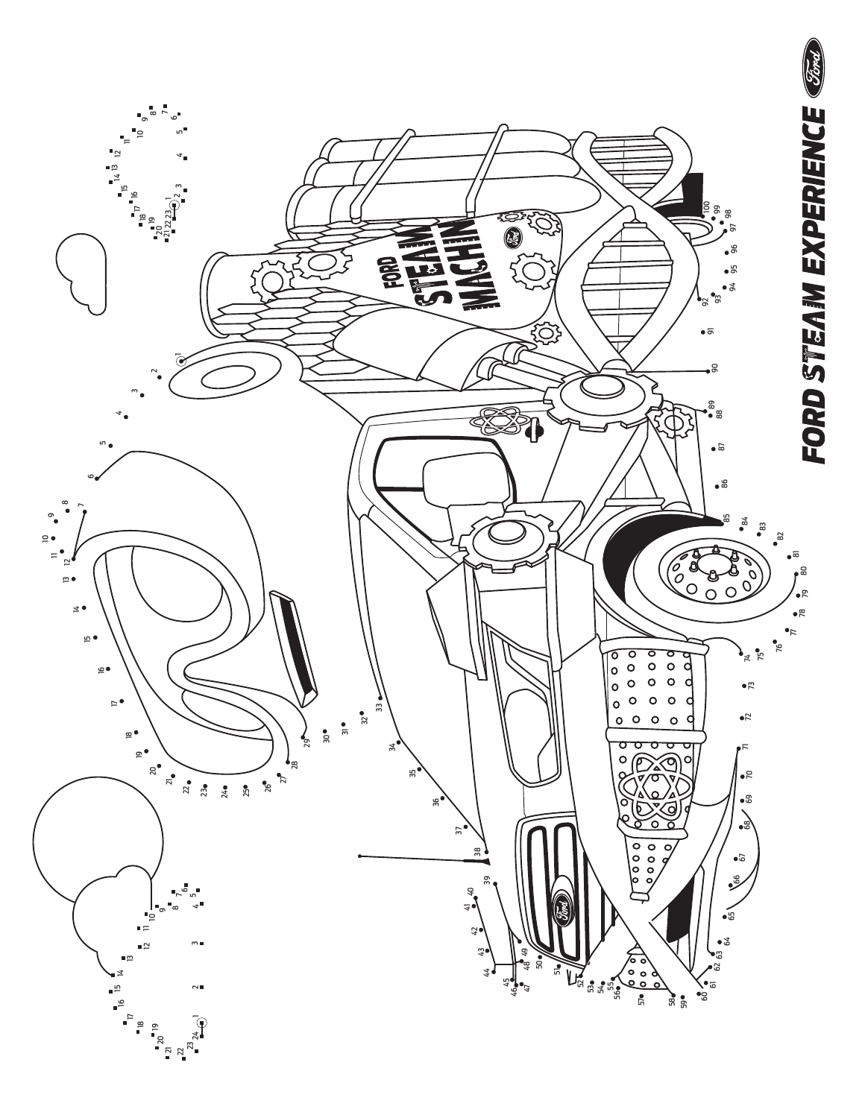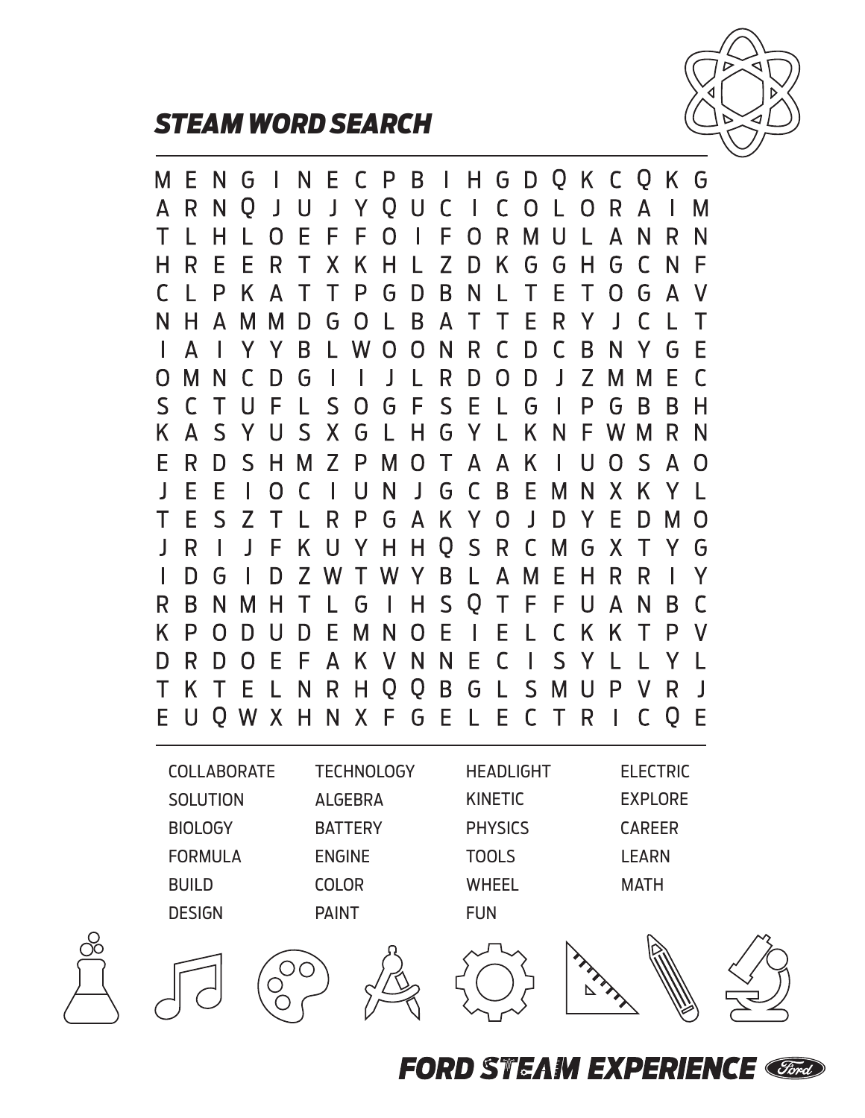

## *STEAM WORD SEARCH*

I H G D Q K C Q K G E P B M E N. G N - C  $\mathsf{C}$  $\mathsf{C}$  $\mathsf{R}$ A R N O J. U  $\mathsf{l}$ Y Q U ı  $\overline{O}$  $\mathbf{L}$  $\Omega$  $\mathsf{A}$ ı Μ Τ E F F F L. н L O  $\Omega$ ı  $\Omega$ R. M  $\mathbf{U}$ Α N R N L Z H R E F R Τ X. K H D K G G Н G C N F L N  $\subset$ L P K Τ Τ P G D B Τ Е Τ O G - A Δ V N B  $\top$ Е R H  $\Delta$ M М D G  $\Omega$  $\mathsf{A}$ Τ Y J.  $\Gamma$  $\mathbf{L}$ Τ L. L A B W  $\Omega$  $\Omega$ N. R C D C B N G E Y Y Y.  $\Omega$ M N G  $\mathbf{I}$ R D  $\Omega$ D  $\mathsf{l}$ Z М Е  $\Gamma$  $\Gamma$ D M  $S$  $S$ F  $S$ E P G <sub>B</sub>  $\mathsf{\Gamma}$ U F L  $\Omega$ G G B н Т  $\mathsf{S}$ K. A S X. G Н G Y K F W M R Y U L N N E R D  $\mathsf{S}$ 7 P Т A K U O  $\mathsf{S}$ н М M  $\Omega$ A Δ  $\Omega$  $\overline{\phantom{a}}$ E E G  $\mathsf{C}$ B E U  $\overline{\phantom{a}}$ N X O  $\Gamma$ N М K E  $\mathsf{S}$ Y Τ  $\overline{Z}$ R P  $\mathsf{A}$ K.  $\Omega$  $\mathbf{I}$ Y E Τ G D D M O  $\overline{O}$  $\mathsf{S}$  $\mathbf{I}$ R П  $\overline{\phantom{a}}$ F K н н R C G X т G M Y U Y B  $\mathbf{I}$ D G Z W L  $\Delta$ M E H. R R D W Τ <sup>N</sup> Y  $\mathsf{S}$ R Q  $\top$ F B N. M н Τ L G н F U A N B C E K. P  $\Omega$ D D E.  $\Omega$ E ı C K. K Т P U M N  $\mathbf{L}$ E  $\mathsf{S}$ R F N N.  $\mathsf{C}$ D D  $\Omega$ F  $\Delta$ K V ı Y Y Q G  $S$ K. Е Q B P R Τ  $\top$  $\mathbf{L}$ N R н L M U  $\mathbf{I}$ E  $\mathsf{U}$ O W X N  $\mathsf{X}$ FGE E.  $\mathsf{C}$ H L  $\top$ R C  $\overline{O}$ -E COLLABORATE TECHNOLOGY HEADLIGHT ELECTRIC **SOLUTION** ALGEBRA KINETIC EXPLORE **BIOLOGY** BATTERY PHYSICS CAREER FORMULA ENGINE TOOLS LEARN BUILD COLOR WHEEL MATHDESIGN PAINT FUN  $\overline{O}O$  $\triangleright$ 

**FORD STEAM EXPERIENCE**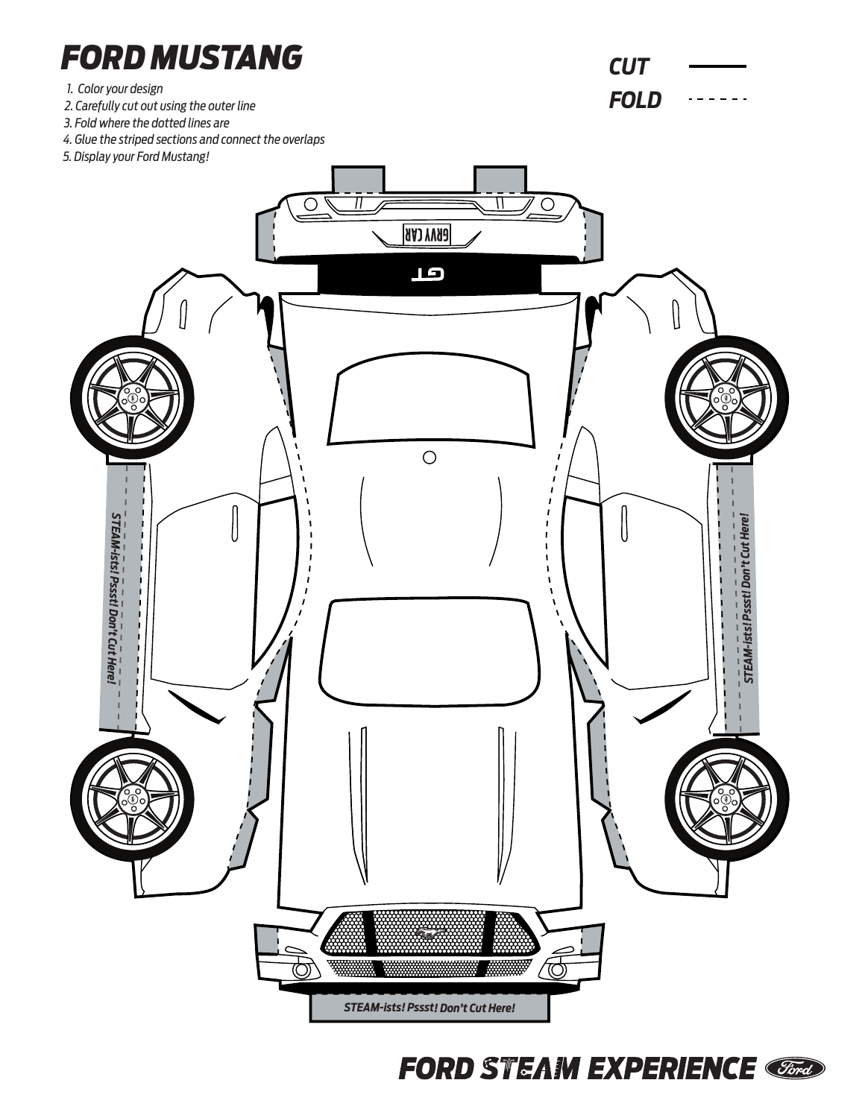

**FORD STEAM EXPERIENCE CEnter** 

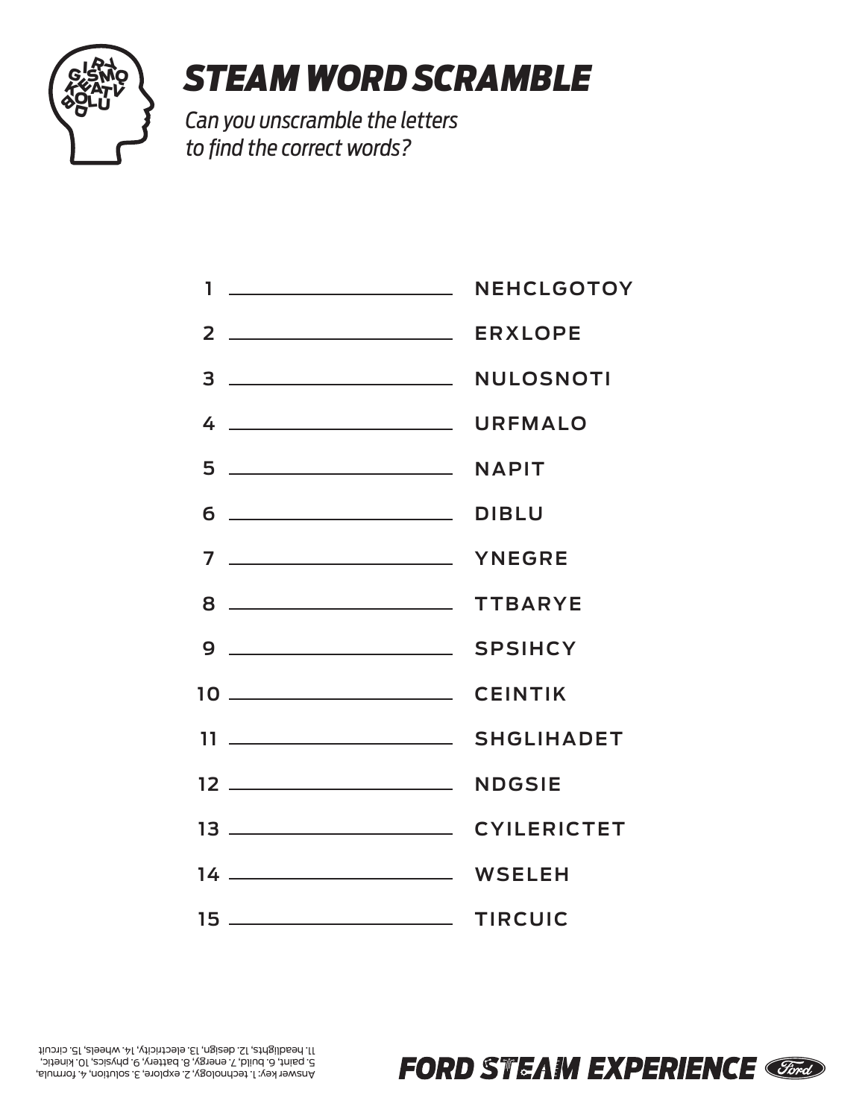

## *STEAM WORD SCRAMBLE*

*Can you unscramble the letters to find the correct words?*

**NEHCLGOTOY ERXLOPE 2 NULOSNOTI URFMALO NAPIT DIBLU YNEGRE TTBARYE SPSIHCY CEINTIK SHGLIHADET NDGSIE 12 CYILERICTET WSELEH 14 TIRCUIC 15 1 3 4 5 6 7 8 9 10 11 13**

**FORD STEAM EXPERIENCE**